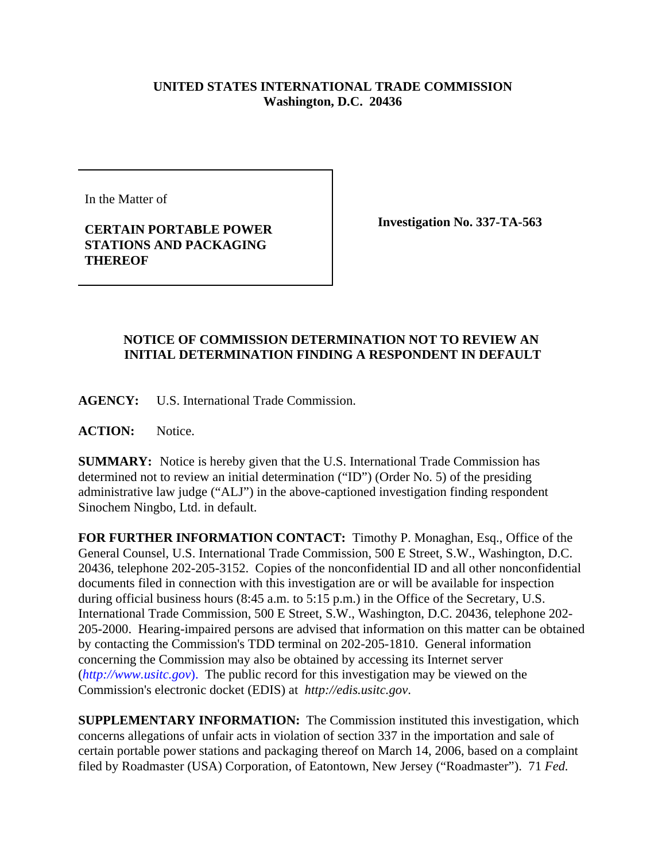## **UNITED STATES INTERNATIONAL TRADE COMMISSION Washington, D.C. 20436**

In the Matter of

## **CERTAIN PORTABLE POWER STATIONS AND PACKAGING THEREOF**

**Investigation No. 337-TA-563**

## **NOTICE OF COMMISSION DETERMINATION NOT TO REVIEW AN INITIAL DETERMINATION FINDING A RESPONDENT IN DEFAULT**

**AGENCY:** U.S. International Trade Commission.

**ACTION:** Notice.

**SUMMARY:** Notice is hereby given that the U.S. International Trade Commission has determined not to review an initial determination ("ID") (Order No. 5) of the presiding administrative law judge ("ALJ") in the above-captioned investigation finding respondent Sinochem Ningbo, Ltd. in default.

**FOR FURTHER INFORMATION CONTACT:** Timothy P. Monaghan, Esq., Office of the General Counsel, U.S. International Trade Commission, 500 E Street, S.W., Washington, D.C. 20436, telephone 202-205-3152. Copies of the nonconfidential ID and all other nonconfidential documents filed in connection with this investigation are or will be available for inspection during official business hours (8:45 a.m. to 5:15 p.m.) in the Office of the Secretary, U.S. International Trade Commission, 500 E Street, S.W., Washington, D.C. 20436, telephone 202- 205-2000. Hearing-impaired persons are advised that information on this matter can be obtained by contacting the Commission's TDD terminal on 202-205-1810. General information concerning the Commission may also be obtained by accessing its Internet server (*http://www.usitc.gov*). The public record for this investigation may be viewed on the Commission's electronic docket (EDIS) at *http://edis.usitc.gov*.

**SUPPLEMENTARY INFORMATION:** The Commission instituted this investigation, which concerns allegations of unfair acts in violation of section 337 in the importation and sale of certain portable power stations and packaging thereof on March 14, 2006, based on a complaint filed by Roadmaster (USA) Corporation, of Eatontown, New Jersey ("Roadmaster"). 71 *Fed.*